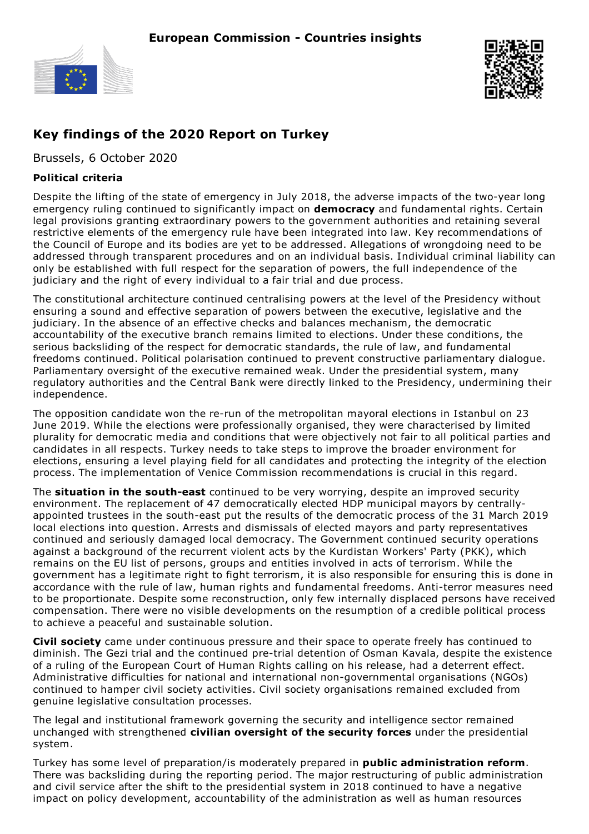



## **Key findings of the 2020 Report on Turkey**

Brussels, 6 October 2020

## **Political criteria**

Despite the lifting of the state of emergency in July 2018, the adverse impacts of the two-year long emergency ruling continued to significantly impact on **democracy** and fundamental rights. Certain legal provisions granting extraordinary powers to the government authorities and retaining several restrictive elements of the emergency rule have been integrated into law. Key recommendations of the Council of Europe and its bodies are yet to be addressed. Allegations of wrongdoing need to be addressed through transparent procedures and on an individual basis. Individual criminal liability can only be established with full respect for the separation of powers, the full independence of the judiciary and the right of every individual to a fair trial and due process.

The constitutional architecture continued centralising powers at the level of the Presidency without ensuring a sound and effective separation of powers between the executive, legislative and the judiciary. In the absence of an effective checks and balances mechanism, the democratic accountability of the executive branch remains limited to elections. Under these conditions, the serious backsliding of the respect for democratic standards, the rule of law, and fundamental freedoms continued. Political polarisation continued to prevent constructive parliamentary dialogue. Parliamentary oversight of the executive remained weak. Under the presidential system, many regulatory authorities and the Central Bank were directly linked to the Presidency, undermining their independence.

The opposition candidate won the re-run of the metropolitan mayoral elections in Istanbul on 23 June 2019. While the elections were professionally organised, they were characterised by limited plurality for democratic media and conditions that were objectively not fair to all political parties and candidates in all respects. Turkey needs to take steps to improve the broader environment for elections, ensuring a level playing field for all candidates and protecting the integrity of the election process. The implementation of Venice Commission recommendations is crucial in this regard.

The **situation in the south-east** continued to be very worrying, despite an improved security environment. The replacement of 47 democratically elected HDP municipal mayors by centrallyappointed trustees in the south-east put the results of the democratic process of the 31 March 2019 local elections into question. Arrests and dismissals of elected mayors and party representatives continued and seriously damaged local democracy. The Government continued security operations against a background of the recurrent violent acts by the Kurdistan Workers' Party (PKK), which remains on the EU list of persons, groups and entities involved in acts of terrorism. While the government has a legitimate right to fight terrorism, it is also responsible for ensuring this is done in accordance with the rule of law, human rights and fundamental freedoms. Anti-terror measures need to be proportionate. Despite some reconstruction, only few internally displaced persons have received compensation. There were no visible developments on the resumption of a credible political process to achieve a peaceful and sustainable solution.

**Civil society** came under continuous pressure and their space to operate freely has continued to diminish. The Gezi trial and the continued pre-trial detention of Osman Kavala, despite the existence of a ruling of the European Court of Human Rights calling on his release, had a deterrent effect. Administrative difficulties for national and international non-governmental organisations (NGOs) continued to hamper civil society activities. Civil society organisations remained excluded from genuine legislative consultation processes.

The legal and institutional framework governing the security and intelligence sector remained unchanged with strengthened **civilian oversight of the security forces** under the presidential system.

Turkey has some level of preparation/is moderately prepared in **public administration reform**. There was backsliding during the reporting period. The major restructuring of public administration and civil service after the shift to the presidential system in 2018 continued to have a negative impact on policy development, accountability of the administration as well as human resources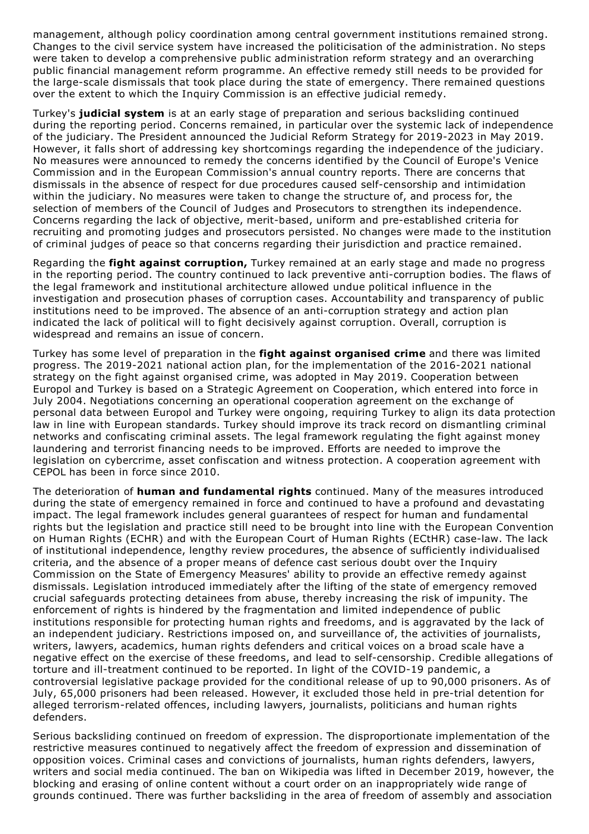management, although policy coordination among central government institutions remained strong. Changes to the civil service system have increased the politicisation of the administration. No steps were taken to develop a comprehensive public administration reform strategy and an overarching public financial management reform programme. An effective remedy still needs to be provided for the large-scale dismissals that took place during the state of emergency. There remained questions over the extent to which the Inquiry Commission is an effective judicial remedy.

Turkey's **judicial system** is at an early stage of preparation and serious backsliding continued during the reporting period. Concerns remained, in particular over the systemic lack of independence of the judiciary. The President announced the Judicial Reform Strategy for 2019-2023 in May 2019. However, it falls short of addressing key shortcomings regarding the independence of the judiciary. No measures were announced to remedy the concerns identified by the Council of Europe's Venice Commission and in the European Commission's annual country reports. There are concerns that dismissals in the absence of respect for due procedures caused self-censorship and intimidation within the judiciary. No measures were taken to change the structure of, and process for, the selection of members of the Council of Judges and Prosecutors to strengthen its independence. Concerns regarding the lack of objective, merit-based, uniform and pre-established criteria for recruiting and promoting judges and prosecutors persisted. No changes were made to the institution of criminal judges of peace so that concerns regarding their jurisdiction and practice remained.

Regarding the **fight against corruption,** Turkey remained at an early stage and made no progress in the reporting period. The country continued to lack preventive anti-corruption bodies. The flaws of the legal framework and institutional architecture allowed undue political influence in the investigation and prosecution phases of corruption cases. Accountability and transparency of public institutions need to be improved. The absence of an anti-corruption strategy and action plan indicated the lack of political will to fight decisively against corruption. Overall, corruption is widespread and remains an issue of concern.

Turkey has some level of preparation in the **fight against organised crime** and there was limited progress. The 2019-2021 national action plan, for the implementation of the 2016-2021 national strategy on the fight against organised crime, was adopted in May 2019. Cooperation between Europol and Turkey is based on a Strategic Agreement on Cooperation, which entered into force in July 2004. Negotiations concerning an operational cooperation agreement on the exchange of personal data between Europol and Turkey were ongoing, requiring Turkey to align its data protection law in line with European standards. Turkey should improve its track record on dismantling criminal networks and confiscating criminal assets. The legal framework regulating the fight against money laundering and terrorist financing needs to be improved. Efforts are needed to improve the legislation on cybercrime, asset confiscation and witness protection. A cooperation agreement with CEPOL has been in force since 2010.

The deterioration of **human and fundamental rights** continued. Many of the measures introduced during the state of emergency remained in force and continued to have a profound and devastating impact. The legal framework includes general guarantees of respect for human and fundamental rights but the legislation and practice still need to be brought into line with the European Convention on Human Rights (ECHR) and with the European Court of Human Rights (ECtHR) case-law. The lack of institutional independence, lengthy review procedures, the absence of sufficiently individualised criteria, and the absence of a proper means of defence cast serious doubt over the Inquiry Commission on the State of Emergency Measures' ability to provide an effective remedy against dismissals. Legislation introduced immediately after the lifting of the state of emergency removed crucial safeguards protecting detainees from abuse, thereby increasing the risk of impunity. The enforcement of rights is hindered by the fragmentation and limited independence of public institutions responsible for protecting human rights and freedoms, and is aggravated by the lack of an independent judiciary. Restrictions imposed on, and surveillance of, the activities of journalists, writers, lawyers, academics, human rights defenders and critical voices on a broad scale have a negative effect on the exercise of these freedoms, and lead to self-censorship. Credible allegations of torture and ill-treatment continued to be reported. In light of the COVID-19 pandemic, a controversial legislative package provided for the conditional release of up to 90,000 prisoners. As of July, 65,000 prisoners had been released. However, it excluded those held in pre-trial detention for alleged terrorism-related offences, including lawyers, journalists, politicians and human rights defenders.

Serious backsliding continued on freedom of expression. The disproportionate implementation of the restrictive measures continued to negatively affect the freedom of expression and dissemination of opposition voices. Criminal cases and convictions of journalists, human rights defenders, lawyers, writers and social media continued. The ban on Wikipedia was lifted in December 2019, however, the blocking and erasing of online content without a court order on an inappropriately wide range of grounds continued. There was further backsliding in the area of freedom of assembly and association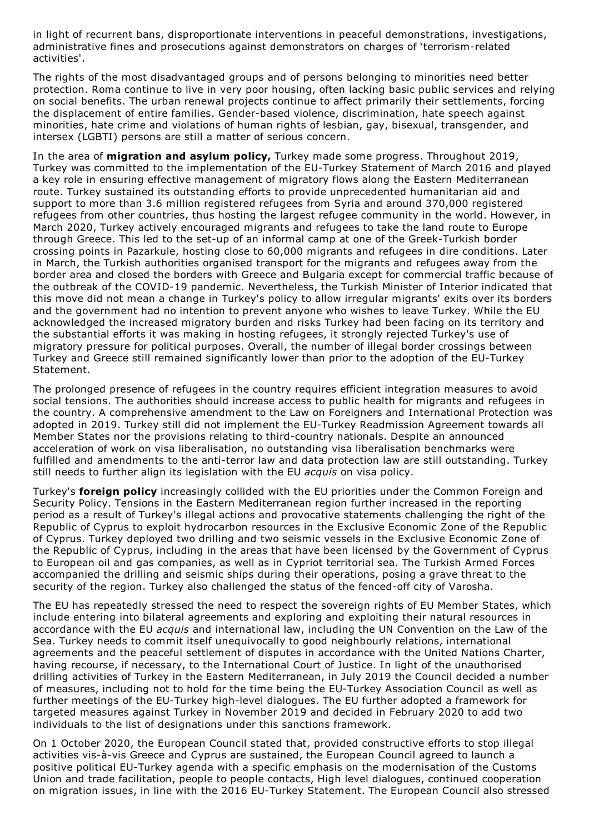in light of recurrent bans, disproportionate interventions in peaceful demonstrations, investigations, administrative fines and prosecutions against demonstrators on charges of 'terrorism-related activities'.

The rights of the most disadvantaged groups and of persons belonging to minorities need better protection. Roma continue to live in very poor housing, often lacking basic public services and relying on social benefits. The urban renewal projects continue to affect primarily their settlements, forcing the displacement of entire families. Gender-based violence, discrimination, hate speech against minorities, hate crime and violations of human rights of lesbian, gay, bisexual, transgender, and intersex (LGBTI) persons are still a matter of serious concern.

In the area of **migration and asylum policy,** Turkey made some progress. Throughout 2019, Turkey was committed to the implementation of the EU-Turkey Statement of March 2016 and played a key role in ensuring effective management of migratory flows along the Eastern Mediterranean route. Turkey sustained its outstanding efforts to provide unprecedented humanitarian aid and support to more than 3.6 million registered refugees from Syria and around 370,000 registered refugees from other countries, thus hosting the largest refugee community in the world. However, in March 2020, Turkey actively encouraged migrants and refugees to take the land route to Europe through Greece. This led to the set-up of an informal camp at one of the Greek-Turkish border crossing points in Pazarkule, hosting close to 60,000 migrants and refugees in dire conditions. Later in March, the Turkish authorities organised transport for the migrants and refugees away from the border area and closed the borders with Greece and Bulgaria except for commercial traffic because of the outbreak of the COVID-19 pandemic. Nevertheless, the Turkish Minister of Interior indicated that this move did not mean a change in Turkey's policy to allow irregular migrants' exits over its borders and the government had no intention to prevent anyone who wishes to leave Turkey. While the EU acknowledged the increased migratory burden and risks Turkey had been facing on its territory and the substantial efforts it was making in hosting refugees, it strongly rejected Turkey's use of migratory pressure for political purposes. Overall, the number of illegal border crossings between Turkey and Greece still remained significantly lower than prior to the adoption of the EU-Turkey Statement.

The prolonged presence of refugees in the country requires efficient integration measures to avoid social tensions. The authorities should increase access to public health for migrants and refugees in the country. A comprehensive amendment to the Law on Foreigners and International Protection was adopted in 2019. Turkey still did not implement the EU-Turkey Readmission Agreement towards all Member States nor the provisions relating to third-country nationals. Despite an announced acceleration of work on visa liberalisation, no outstanding visa liberalisation benchmarks were fulfilled and amendments to the anti-terror law and data protection law are still outstanding. Turkey still needs to further align its legislation with the EU *acquis* on visa policy.

Turkey's **foreign policy** increasingly collided with the EU priorities under the Common Foreign and Security Policy. Tensions in the Eastern Mediterranean region further increased in the reporting period as a result of Turkey's illegal actions and provocative statements challenging the right of the Republic of Cyprus to exploit hydrocarbon resources in the Exclusive Economic Zone of the Republic of Cyprus. Turkey deployed two drilling and two seismic vessels in the Exclusive Economic Zone of the Republic of Cyprus, including in the areas that have been licensed by the Government of Cyprus to European oil and gas companies, as well as in Cypriot territorial sea. The Turkish Armed Forces accompanied the drilling and seismic ships during their operations, posing a grave threat to the security of the region. Turkey also challenged the status of the fenced-off city of Varosha.

The EU has repeatedly stressed the need to respect the sovereign rights of EU Member States, which include entering into bilateral agreements and exploring and exploiting their natural resources in accordance with the EU *acquis* and international law, including the UN Convention on the Law of the Sea. Turkey needs to commit itself unequivocally to good neighbourly relations, international agreements and the peaceful settlement of disputes in accordance with the United Nations Charter, having recourse, if necessary, to the International Court of Justice. In light of the unauthorised drilling activities of Turkey in the Eastern Mediterranean, in July 2019 the Council decided a number of measures, including not to hold for the time being the EU-Turkey Association Council as well as further meetings of the EU-Turkey high-level dialogues. The EU further adopted a framework for targeted measures against Turkey in November 2019 and decided in February 2020 to add two individuals to the list of designations under this sanctions framework.

On 1 October 2020, the European Council stated that, provided constructive efforts to stop illegal activities vis-à-vis Greece and Cyprus are sustained, the European Council agreed to launch a positive political EU-Turkey agenda with a specific emphasis on the modernisation of the Customs Union and trade facilitation, people to people contacts, High level dialogues, continued cooperation on migration issues, in line with the 2016 EU-Turkey Statement. The European Council also stressed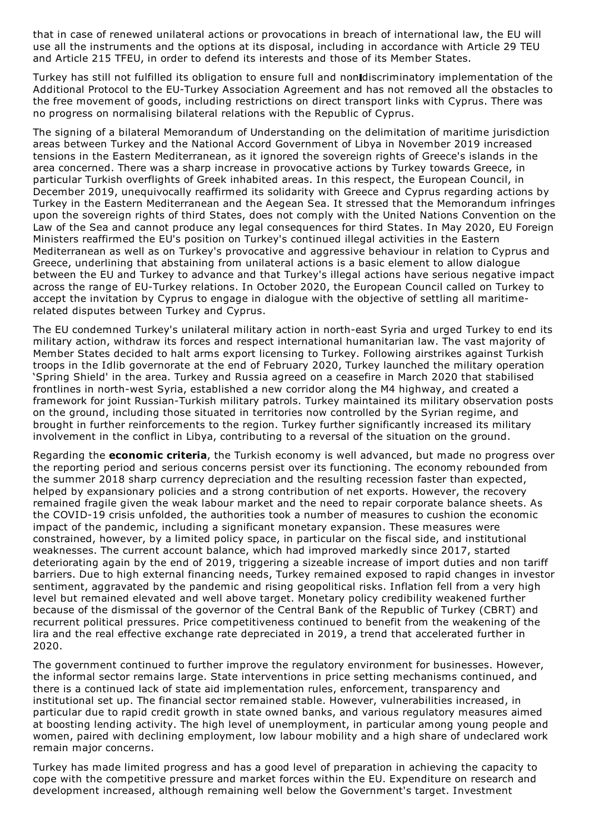that in case of renewed unilateral actions or provocations in breach of international law, the EU will use all the instruments and the options at its disposal, including in accordance with Article 29 TEU and Article 215 TFEU, in order to defend its interests and those of its Member States.

Turkey has still not fulfilled its obligation to ensure full and nonidiscriminatory implementation of the Additional Protocol to the EU-Turkey Association Agreement and has not removed all the obstacles to the free movement of goods, including restrictions on direct transport links with Cyprus. There was no progress on normalising bilateral relations with the Republic of Cyprus.

The signing of a bilateral Memorandum of Understanding on the delimitation of maritime jurisdiction areas between Turkey and the National Accord Government of Libya in November 2019 increased tensions in the Eastern Mediterranean, as it ignored the sovereign rights of Greece's islands in the area concerned. There was a sharp increase in provocative actions by Turkey towards Greece, in particular Turkish overflights of Greek inhabited areas. In this respect, the European Council, in December 2019, unequivocally reaffirmed its solidarity with Greece and Cyprus regarding actions by Turkey in the Eastern Mediterranean and the Aegean Sea. It stressed that the Memorandum infringes upon the sovereign rights of third States, does not comply with the United Nations Convention on the Law of the Sea and cannot produce any legal consequences for third States. In May 2020, EU Foreign Ministers reaffirmed the EU's position on Turkey's continued illegal activities in the Eastern Mediterranean as well as on Turkey's provocative and aggressive behaviour in relation to Cyprus and Greece, underlining that abstaining from unilateral actions is a basic element to allow dialogue between the EU and Turkey to advance and that Turkey's illegal actions have serious negative impact across the range of EU-Turkey relations. In October 2020, the European Council called on Turkey to accept the invitation by Cyprus to engage in dialogue with the objective of settling all maritimerelated disputes between Turkey and Cyprus.

The EU condemned Turkey's unilateral military action in north-east Syria and urged Turkey to end its military action, withdraw its forces and respect international humanitarian law. The vast majority of Member States decided to halt arms export licensing to Turkey. Following airstrikes against Turkish troops in the Idlib governorate at the end of February 2020, Turkey launched the military operation 'Spring Shield' in the area. Turkey and Russia agreed on a ceasefire in March 2020 that stabilised frontlines in north-west Syria, established a new corridor along the M4 highway, and created a framework for joint Russian-Turkish military patrols. Turkey maintained its military observation posts on the ground, including those situated in territories now controlled by the Syrian regime, and brought in further reinforcements to the region. Turkey further significantly increased its military involvement in the conflict in Libya, contributing to a reversal of the situation on the ground.

Regarding the **economic criteria**, the Turkish economy is well advanced, but made no progress over the reporting period and serious concerns persist over its functioning. The economy rebounded from the summer 2018 sharp currency depreciation and the resulting recession faster than expected, helped by expansionary policies and a strong contribution of net exports. However, the recovery remained fragile given the weak labour market and the need to repair corporate balance sheets. As the COVID-19 crisis unfolded, the authorities took a number of measures to cushion the economic impact of the pandemic, including a significant monetary expansion. These measures were constrained, however, by a limited policy space, in particular on the fiscal side, and institutional weaknesses. The current account balance, which had improved markedly since 2017, started deteriorating again by the end of 2019, triggering a sizeable increase of import duties and non tariff barriers. Due to high external financing needs, Turkey remained exposed to rapid changes in investor sentiment, aggravated by the pandemic and rising geopolitical risks. Inflation fell from a very high level but remained elevated and well above target. Monetary policy credibility weakened further because of the dismissal of the governor of the Central Bank of the Republic of Turkey (CBRT) and recurrent political pressures. Price competitiveness continued to benefit from the weakening of the lira and the real effective exchange rate depreciated in 2019, a trend that accelerated further in 2020.

The government continued to further improve the regulatory environment for businesses. However, the informal sector remains large. State interventions in price setting mechanisms continued, and there is a continued lack of state aid implementation rules, enforcement, transparency and institutional set up. The financial sector remained stable. However, vulnerabilities increased, in particular due to rapid credit growth in state owned banks, and various regulatory measures aimed at boosting lending activity. The high level of unemployment, in particular among young people and women, paired with declining employment, low labour mobility and a high share of undeclared work remain major concerns.

Turkey has made limited progress and has a good level of preparation in achieving the capacity to cope with the competitive pressure and market forces within the EU. Expenditure on research and development increased, although remaining well below the Government's target. Investment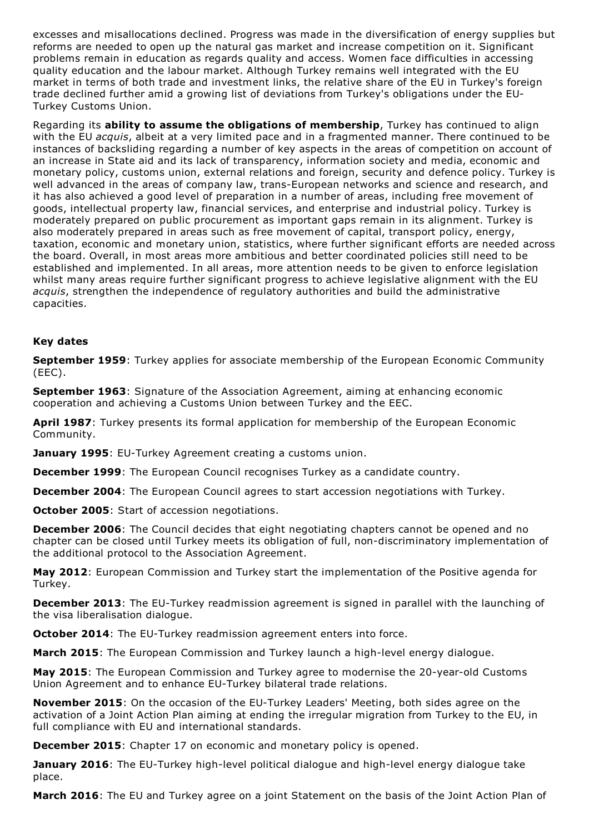excesses and misallocations declined. Progress was made in the diversification of energy supplies but reforms are needed to open up the natural gas market and increase competition on it. Significant problems remain in education as regards quality and access. Women face difficulties in accessing quality education and the labour market. Although Turkey remains well integrated with the EU market in terms of both trade and investment links, the relative share of the EU in Turkey's foreign trade declined further amid a growing list of deviations from Turkey's obligations under the EU-Turkey Customs Union.

Regarding its **ability to assume the obligations of membership**, Turkey has continued to align with the EU *acquis*, albeit at a very limited pace and in a fragmented manner. There continued to be instances of backsliding regarding a number of key aspects in the areas of competition on account of an increase in State aid and its lack of transparency, information society and media, economic and monetary policy, customs union, external relations and foreign, security and defence policy. Turkey is well advanced in the areas of company law, trans-European networks and science and research, and it has also achieved a good level of preparation in a number of areas, including free movement of goods, intellectual property law, financial services, and enterprise and industrial policy. Turkey is moderately prepared on public procurement as important gaps remain in its alignment. Turkey is also moderately prepared in areas such as free movement of capital, transport policy, energy, taxation, economic and monetary union, statistics, where further significant efforts are needed across the board. Overall, in most areas more ambitious and better coordinated policies still need to be established and implemented. In all areas, more attention needs to be given to enforce legislation whilst many areas require further significant progress to achieve legislative alignment with the EU *acquis*, strengthen the independence of regulatory authorities and build the administrative capacities.

## **Key dates**

**September 1959**: Turkey applies for associate membership of the European Economic Community (EEC).

**September 1963**: Signature of the Association Agreement, aiming at enhancing economic cooperation and achieving a Customs Union between Turkey and the EEC.

**April 1987**: Turkey presents its formal application for membership of the European Economic Community.

**January 1995**: EU-Turkey Agreement creating a customs union.

**December 1999**: The European Council recognises Turkey as a candidate country.

**December 2004**: The European Council agrees to start accession negotiations with Turkey.

**October 2005**: Start of accession negotiations.

**December 2006**: The Council decides that eight negotiating chapters cannot be opened and no chapter can be closed until Turkey meets its obligation of full, non-discriminatory implementation of the additional protocol to the Association Agreement.

**May 2012**: European Commission and Turkey start the implementation of the Positive agenda for Turkey.

**December 2013**: The EU-Turkey readmission agreement is signed in parallel with the launching of the visa liberalisation dialogue.

**October 2014**: The EU-Turkey readmission agreement enters into force.

**March 2015**: The European Commission and Turkey launch a high-level energy dialogue.

**May 2015**: The European Commission and Turkey agree to modernise the 20-year-old Customs Union Agreement and to enhance EU-Turkey bilateral trade relations.

**November 2015**: On the occasion of the EU-Turkey Leaders' Meeting, both sides agree on the activation of a Joint Action Plan aiming at ending the irregular migration from Turkey to the EU, in full compliance with EU and international standards.

**December 2015**: Chapter 17 on economic and monetary policy is opened.

**January 2016**: The EU-Turkey high-level political dialogue and high-level energy dialogue take place.

**March 2016**: The EU and Turkey agree on a joint Statement on the basis of the Joint Action Plan of